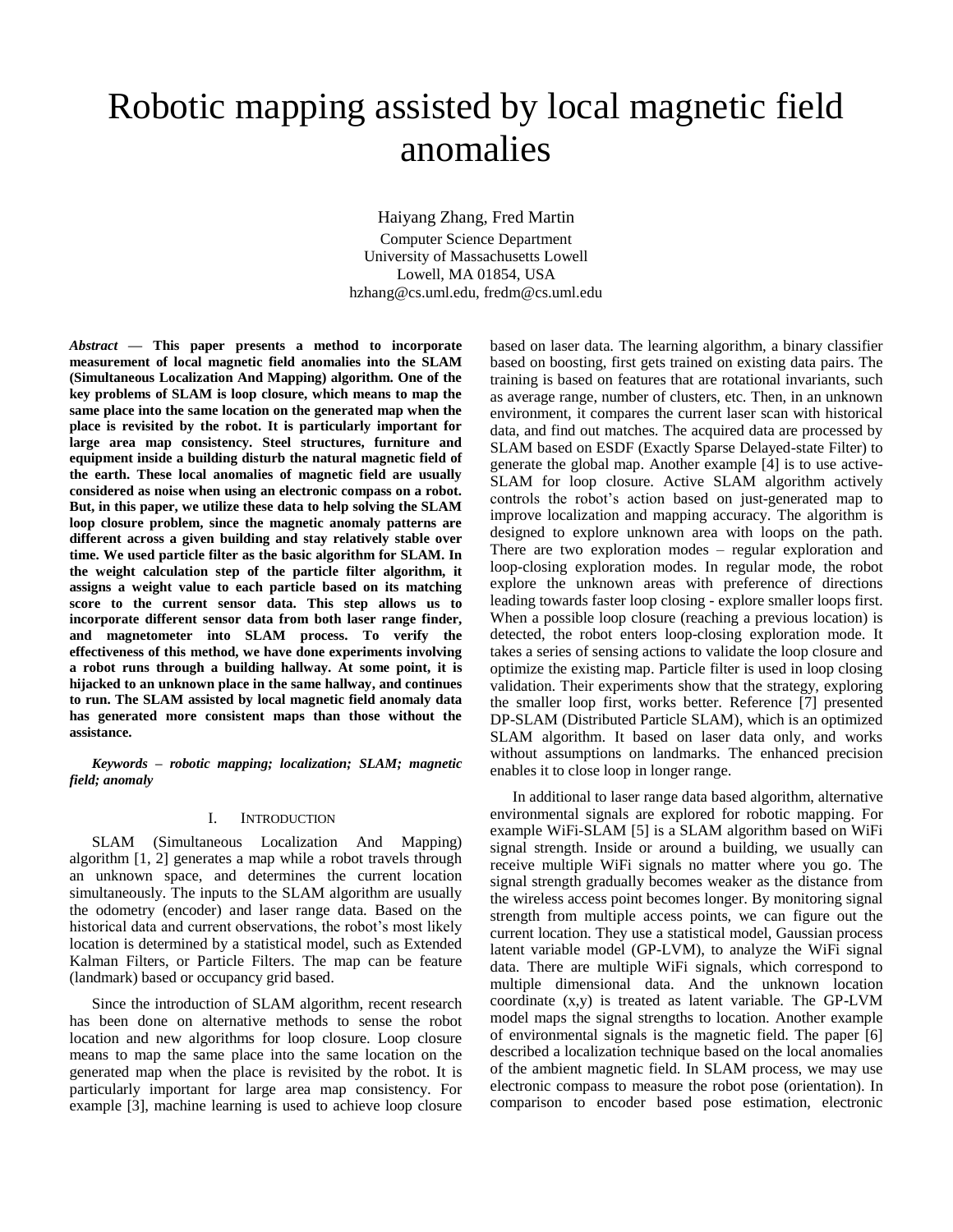# Robotic mapping assisted by local magnetic field anomalies

Haiyang Zhang, Fred Martin Computer Science Department University of Massachusetts Lowell Lowell, MA 01854, USA hzhang@cs.uml.edu, fredm@cs.uml.edu

*Abstract* **— This paper presents a method to incorporate measurement of local magnetic field anomalies into the SLAM (Simultaneous Localization And Mapping) algorithm. One of the key problems of SLAM is loop closure, which means to map the same place into the same location on the generated map when the place is revisited by the robot. It is particularly important for large area map consistency. Steel structures, furniture and equipment inside a building disturb the natural magnetic field of the earth. These local anomalies of magnetic field are usually considered as noise when using an electronic compass on a robot. But, in this paper, we utilize these data to help solving the SLAM loop closure problem, since the magnetic anomaly patterns are different across a given building and stay relatively stable over time. We used particle filter as the basic algorithm for SLAM. In the weight calculation step of the particle filter algorithm, it assigns a weight value to each particle based on its matching score to the current sensor data. This step allows us to incorporate different sensor data from both laser range finder, and magnetometer into SLAM process. To verify the effectiveness of this method, we have done experiments involving a robot runs through a building hallway. At some point, it is hijacked to an unknown place in the same hallway, and continues to run. The SLAM assisted by local magnetic field anomaly data has generated more consistent maps than those without the assistance.**

*Keywords – robotic mapping; localization; SLAM; magnetic field; anomaly*

## I. INTRODUCTION

SLAM (Simultaneous Localization And Mapping) algorithm [1, 2] generates a map while a robot travels through an unknown space, and determines the current location simultaneously. The inputs to the SLAM algorithm are usually the odometry (encoder) and laser range data. Based on the historical data and current observations, the robot's most likely location is determined by a statistical model, such as Extended Kalman Filters, or Particle Filters. The map can be feature (landmark) based or occupancy grid based.

Since the introduction of SLAM algorithm, recent research has been done on alternative methods to sense the robot location and new algorithms for loop closure. Loop closure means to map the same place into the same location on the generated map when the place is revisited by the robot. It is particularly important for large area map consistency. For example [3], machine learning is used to achieve loop closure

based on laser data. The learning algorithm, a binary classifier based on boosting, first gets trained on existing data pairs. The training is based on features that are rotational invariants, such as average range, number of clusters, etc. Then, in an unknown environment, it compares the current laser scan with historical data, and find out matches. The acquired data are processed by SLAM based on ESDF (Exactly Sparse Delayed-state Filter) to generate the global map. Another example [4] is to use active-SLAM for loop closure. Active SLAM algorithm actively controls the robot's action based on just-generated map to improve localization and mapping accuracy. The algorithm is designed to explore unknown area with loops on the path. There are two exploration modes – regular exploration and loop-closing exploration modes. In regular mode, the robot explore the unknown areas with preference of directions leading towards faster loop closing - explore smaller loops first. When a possible loop closure (reaching a previous location) is detected, the robot enters loop-closing exploration mode. It takes a series of sensing actions to validate the loop closure and optimize the existing map. Particle filter is used in loop closing validation. Their experiments show that the strategy, exploring the smaller loop first, works better. Reference [7] presented DP-SLAM (Distributed Particle SLAM), which is an optimized SLAM algorithm. It based on laser data only, and works without assumptions on landmarks. The enhanced precision enables it to close loop in longer range.

In additional to laser range data based algorithm, alternative environmental signals are explored for robotic mapping. For example WiFi-SLAM [5] is a SLAM algorithm based on WiFi signal strength. Inside or around a building, we usually can receive multiple WiFi signals no matter where you go. The signal strength gradually becomes weaker as the distance from the wireless access point becomes longer. By monitoring signal strength from multiple access points, we can figure out the current location. They use a statistical model, Gaussian process latent variable model (GP-LVM), to analyze the WiFi signal data. There are multiple WiFi signals, which correspond to multiple dimensional data. And the unknown location coordinate (x,y) is treated as latent variable. The GP-LVM model maps the signal strengths to location. Another example of environmental signals is the magnetic field. The paper [6] described a localization technique based on the local anomalies of the ambient magnetic field. In SLAM process, we may use electronic compass to measure the robot pose (orientation). In comparison to encoder based pose estimation, electronic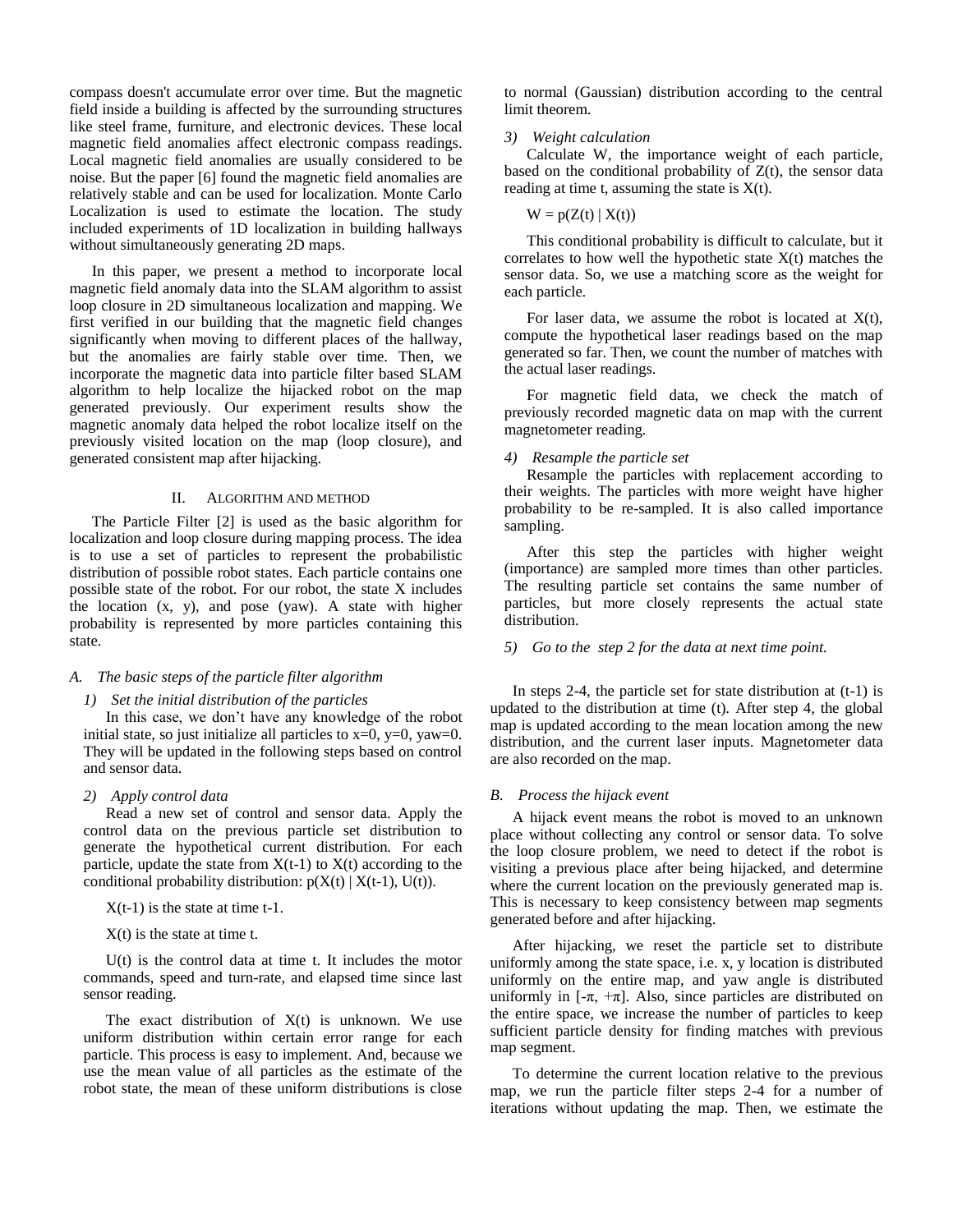compass doesn't accumulate error over time. But the magnetic field inside a building is affected by the surrounding structures like steel frame, furniture, and electronic devices. These local magnetic field anomalies affect electronic compass readings. Local magnetic field anomalies are usually considered to be noise. But the paper [6] found the magnetic field anomalies are relatively stable and can be used for localization. Monte Carlo Localization is used to estimate the location. The study included experiments of 1D localization in building hallways without simultaneously generating 2D maps.

In this paper, we present a method to incorporate local magnetic field anomaly data into the SLAM algorithm to assist loop closure in 2D simultaneous localization and mapping. We first verified in our building that the magnetic field changes significantly when moving to different places of the hallway, but the anomalies are fairly stable over time. Then, we incorporate the magnetic data into particle filter based SLAM algorithm to help localize the hijacked robot on the map generated previously. Our experiment results show the magnetic anomaly data helped the robot localize itself on the previously visited location on the map (loop closure), and generated consistent map after hijacking.

## II. ALGORITHM AND METHOD

The Particle Filter [2] is used as the basic algorithm for localization and loop closure during mapping process. The idea is to use a set of particles to represent the probabilistic distribution of possible robot states. Each particle contains one possible state of the robot. For our robot, the state X includes the location (x, y), and pose (yaw). A state with higher probability is represented by more particles containing this state.

## *A. The basic steps of the particle filter algorithm*

## *1) Set the initial distribution of the particles*

In this case, we don't have any knowledge of the robot initial state, so just initialize all particles to  $x=0$ ,  $y=0$ ,  $yaw=0$ . They will be updated in the following steps based on control and sensor data.

## *2) Apply control data*

Read a new set of control and sensor data. Apply the control data on the previous particle set distribution to generate the hypothetical current distribution. For each particle, update the state from  $X(t-1)$  to  $X(t)$  according to the conditional probability distribution:  $p(X(t) | X(t-1), U(t))$ .

 $X(t-1)$  is the state at time t-1.

 $X(t)$  is the state at time t.

U(t) is the control data at time t. It includes the motor commands, speed and turn-rate, and elapsed time since last sensor reading.

The exact distribution of  $X(t)$  is unknown. We use uniform distribution within certain error range for each particle. This process is easy to implement. And, because we use the mean value of all particles as the estimate of the robot state, the mean of these uniform distributions is close to normal (Gaussian) distribution according to the central limit theorem.

## *3) Weight calculation*

Calculate W, the importance weight of each particle, based on the conditional probability of  $Z(t)$ , the sensor data reading at time t, assuming the state is  $X(t)$ .

 $W = p(Z(t) | X(t))$ 

This conditional probability is difficult to calculate, but it correlates to how well the hypothetic state  $X(t)$  matches the sensor data. So, we use a matching score as the weight for each particle.

For laser data, we assume the robot is located at  $X(t)$ , compute the hypothetical laser readings based on the map generated so far. Then, we count the number of matches with the actual laser readings.

For magnetic field data, we check the match of previously recorded magnetic data on map with the current magnetometer reading.

#### *4) Resample the particle set*

Resample the particles with replacement according to their weights. The particles with more weight have higher probability to be re-sampled. It is also called importance sampling.

After this step the particles with higher weight (importance) are sampled more times than other particles. The resulting particle set contains the same number of particles, but more closely represents the actual state distribution.

# *5) Go to the step 2 for the data at next time point.*

In steps 2-4, the particle set for state distribution at (t-1) is updated to the distribution at time (t). After step 4, the global map is updated according to the mean location among the new distribution, and the current laser inputs. Magnetometer data are also recorded on the map.

## *B. Process the hijack event*

A hijack event means the robot is moved to an unknown place without collecting any control or sensor data. To solve the loop closure problem, we need to detect if the robot is visiting a previous place after being hijacked, and determine where the current location on the previously generated map is. This is necessary to keep consistency between map segments generated before and after hijacking.

After hijacking, we reset the particle set to distribute uniformly among the state space, i.e. x, y location is distributed uniformly on the entire map, and yaw angle is distributed uniformly in  $[-\pi, +\pi]$ . Also, since particles are distributed on the entire space, we increase the number of particles to keep sufficient particle density for finding matches with previous map segment.

To determine the current location relative to the previous map, we run the particle filter steps 2-4 for a number of iterations without updating the map. Then, we estimate the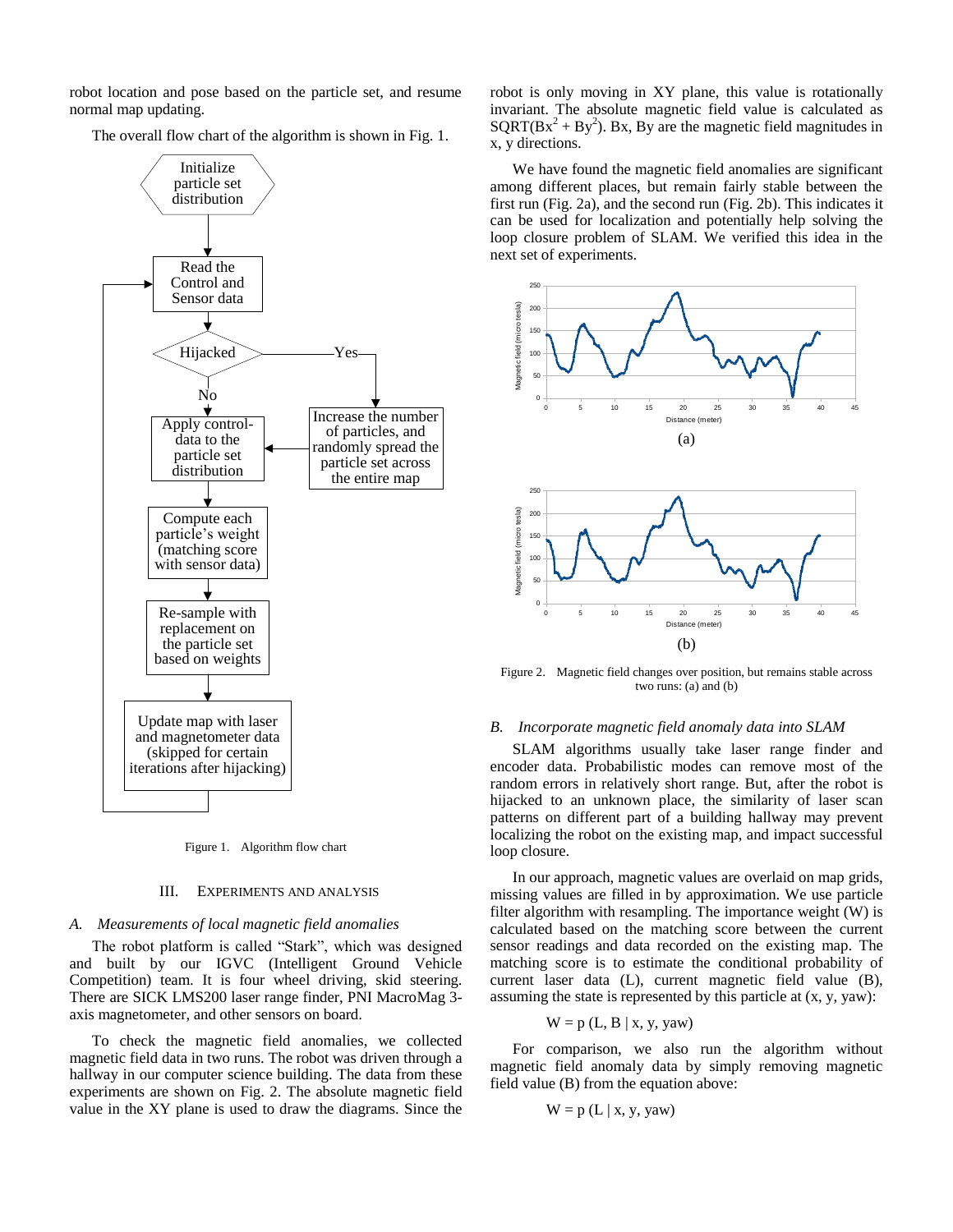robot location and pose based on the particle set, and resume normal map updating.

The overall flow chart of the algorithm is shown in Fig. 1.



Figure 1. Algorithm flow chart

# III. EXPERIMENTS AND ANALYSIS

## *A. Measurements of local magnetic field anomalies*

The robot platform is called "Stark", which was designed and built by our IGVC (Intelligent Ground Vehicle Competition) team. It is four wheel driving, skid steering. There are SICK LMS200 laser range finder, PNI MacroMag 3 axis magnetometer, and other sensors on board.

To check the magnetic field anomalies, we collected magnetic field data in two runs. The robot was driven through a hallway in our computer science building. The data from these experiments are shown on Fig. 2. The absolute magnetic field value in the XY plane is used to draw the diagrams. Since the

robot is only moving in XY plane, this value is rotationally invariant. The absolute magnetic field value is calculated as  $SQRT(Bx^2 + By^2)$ . Bx, By are the magnetic field magnitudes in x, y directions.

We have found the magnetic field anomalies are significant among different places, but remain fairly stable between the first run (Fig. 2a), and the second run (Fig. 2b). This indicates it can be used for localization and potentially help solving the loop closure problem of SLAM. We verified this idea in the next set of experiments.



Figure 2. Magnetic field changes over position, but remains stable across two runs: (a) and (b)

## *B. Incorporate magnetic field anomaly data into SLAM*

SLAM algorithms usually take laser range finder and encoder data. Probabilistic modes can remove most of the random errors in relatively short range. But, after the robot is hijacked to an unknown place, the similarity of laser scan patterns on different part of a building hallway may prevent localizing the robot on the existing map, and impact successful loop closure.

In our approach, magnetic values are overlaid on map grids, missing values are filled in by approximation. We use particle filter algorithm with resampling. The importance weight (W) is calculated based on the matching score between the current sensor readings and data recorded on the existing map. The matching score is to estimate the conditional probability of current laser data (L), current magnetic field value (B), assuming the state is represented by this particle at (x, y, yaw):

$$
W = p(L, B | x, y, yaw)
$$

For comparison, we also run the algorithm without magnetic field anomaly data by simply removing magnetic field value (B) from the equation above:

$$
W = p (L | x, y, yaw)
$$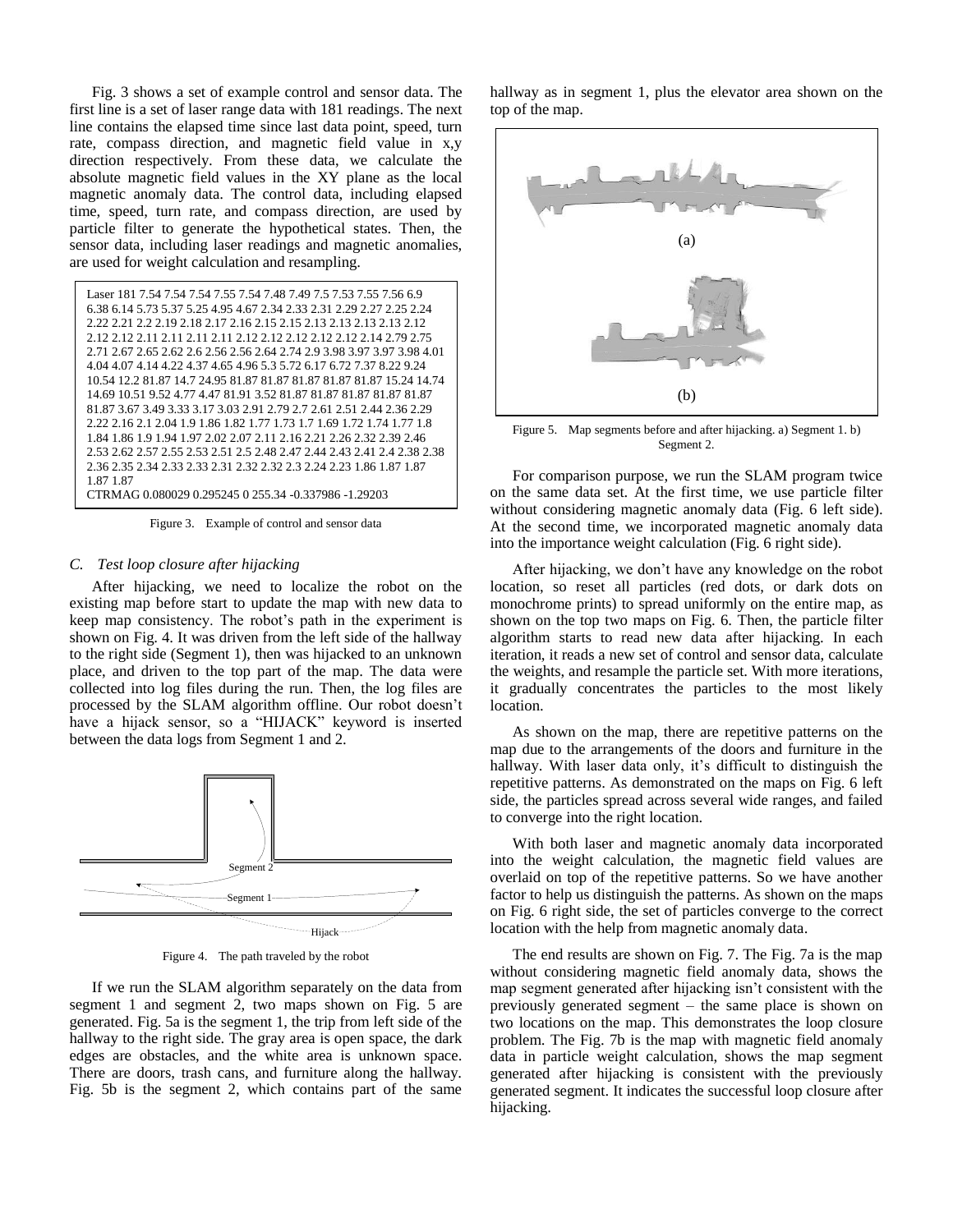Fig. 3 shows a set of example control and sensor data. The first line is a set of laser range data with 181 readings. The next line contains the elapsed time since last data point, speed, turn rate, compass direction, and magnetic field value in x,y direction respectively. From these data, we calculate the absolute magnetic field values in the XY plane as the local magnetic anomaly data. The control data, including elapsed time, speed, turn rate, and compass direction, are used by particle filter to generate the hypothetical states. Then, the sensor data, including laser readings and magnetic anomalies, are used for weight calculation and resampling.



Figure 3. Example of control and sensor data

## *C. Test loop closure after hijacking*

After hijacking, we need to localize the robot on the existing map before start to update the map with new data to keep map consistency. The robot's path in the experiment is shown on Fig. 4. It was driven from the left side of the hallway to the right side (Segment 1), then was hijacked to an unknown place, and driven to the top part of the map. The data were collected into log files during the run. Then, the log files are processed by the SLAM algorithm offline. Our robot doesn't have a hijack sensor, so a "HIJACK" keyword is inserted between the data logs from Segment 1 and 2.



Figure 4. The path traveled by the robot

If we run the SLAM algorithm separately on the data from segment 1 and segment 2, two maps shown on Fig. 5 are generated. Fig. 5a is the segment 1, the trip from left side of the hallway to the right side. The gray area is open space, the dark edges are obstacles, and the white area is unknown space. There are doors, trash cans, and furniture along the hallway. Fig. 5b is the segment 2, which contains part of the same

hallway as in segment 1, plus the elevator area shown on the top of the map.



Figure 5. Map segments before and after hijacking. a) Segment 1. b) Segment 2.

For comparison purpose, we run the SLAM program twice on the same data set. At the first time, we use particle filter without considering magnetic anomaly data (Fig. 6 left side). At the second time, we incorporated magnetic anomaly data into the importance weight calculation (Fig. 6 right side).

After hijacking, we don't have any knowledge on the robot location, so reset all particles (red dots, or dark dots on monochrome prints) to spread uniformly on the entire map, as shown on the top two maps on Fig. 6. Then, the particle filter algorithm starts to read new data after hijacking. In each iteration, it reads a new set of control and sensor data, calculate the weights, and resample the particle set. With more iterations, it gradually concentrates the particles to the most likely location.

As shown on the map, there are repetitive patterns on the map due to the arrangements of the doors and furniture in the hallway. With laser data only, it's difficult to distinguish the repetitive patterns. As demonstrated on the maps on Fig. 6 left side, the particles spread across several wide ranges, and failed to converge into the right location.

With both laser and magnetic anomaly data incorporated into the weight calculation, the magnetic field values are overlaid on top of the repetitive patterns. So we have another factor to help us distinguish the patterns. As shown on the maps on Fig. 6 right side, the set of particles converge to the correct location with the help from magnetic anomaly data.

The end results are shown on Fig. 7. The Fig. 7a is the map without considering magnetic field anomaly data, shows the map segment generated after hijacking isn't consistent with the previously generated segment – the same place is shown on two locations on the map. This demonstrates the loop closure problem. The Fig. 7b is the map with magnetic field anomaly data in particle weight calculation, shows the map segment generated after hijacking is consistent with the previously generated segment. It indicates the successful loop closure after hijacking.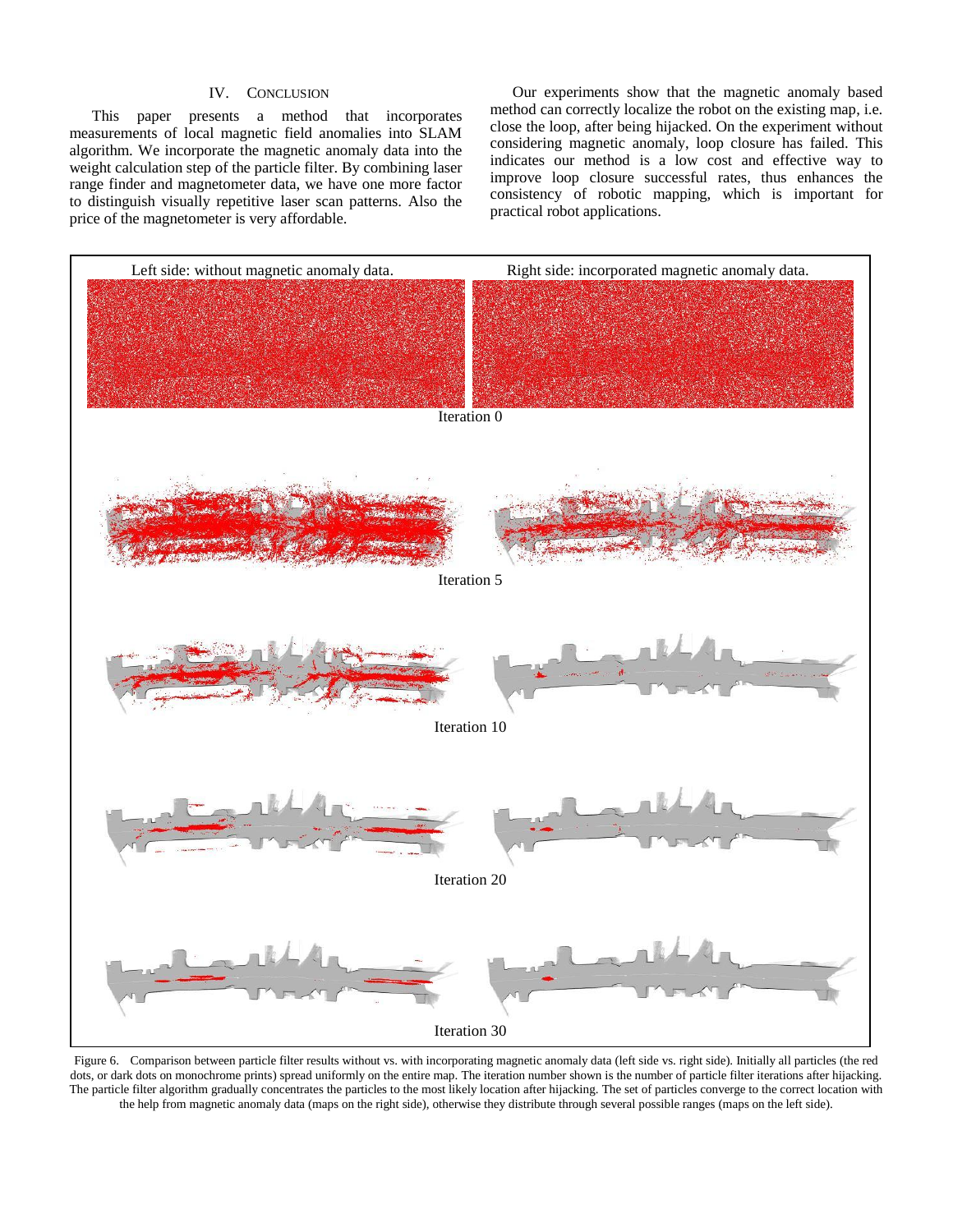# IV. CONCLUSION

This paper presents a method that incorporates measurements of local magnetic field anomalies into SLAM algorithm. We incorporate the magnetic anomaly data into the weight calculation step of the particle filter. By combining laser range finder and magnetometer data, we have one more factor to distinguish visually repetitive laser scan patterns. Also the price of the magnetometer is very affordable.

Our experiments show that the magnetic anomaly based method can correctly localize the robot on the existing map, i.e. close the loop, after being hijacked. On the experiment without considering magnetic anomaly, loop closure has failed. This indicates our method is a low cost and effective way to improve loop closure successful rates, thus enhances the consistency of robotic mapping, which is important for practical robot applications.



Figure 6. Comparison between particle filter results without vs. with incorporating magnetic anomaly data (left side vs. right side). Initially all particles (the red dots, or dark dots on monochrome prints) spread uniformly on the entire map. The iteration number shown is the number of particle filter iterations after hijacking. The particle filter algorithm gradually concentrates the particles to the most likely location after hijacking. The set of particles converge to the correct location with the help from magnetic anomaly data (maps on the right side), otherwise they distribute through several possible ranges (maps on the left side).